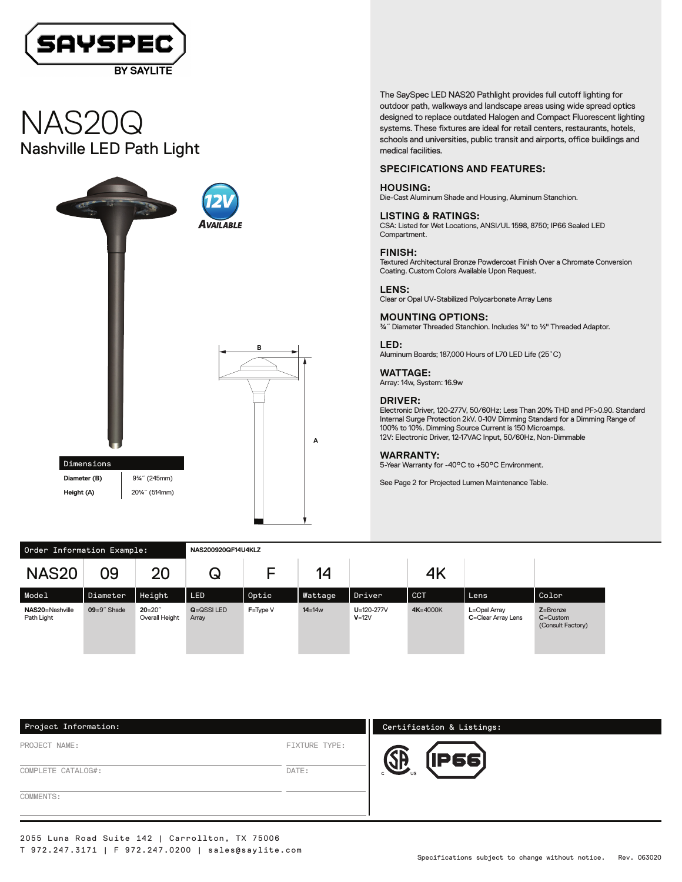

# Nashville LED Path Light NAS20Q



The SaySpec LED NAS20 Pathlight provides full cutoff lighting for outdoor path, walkways and landscape areas using wide spread optics designed to replace outdated Halogen and Compact Fluorescent lighting systems. These fixtures are ideal for retail centers, restaurants, hotels, schools and universities, public transit and airports, office buildings and medical facilities.

#### **SPECIFICATIONS AND FEATURES:**

#### **HOUSING:**

Die-Cast Aluminum Shade and Housing, Aluminum Stanchion.

**LISTING & RATINGS:** CSA: Listed for Wet Locations, ANSI/UL 1598, 8750; IP66 Sealed LED Compartment.

**FINISH:** Textured Architectural Bronze Powdercoat Finish Over a Chromate Conversion Coating. Custom Colors Available Upon Request.

**LENS:** Clear or Opal UV-Stabilized Polycarbonate Array Lens

**MOUNTING OPTIONS:** ¾˝ Diameter Threaded Stanchion. Includes ¾" to ½" Threaded Adaptor.

**LED:** Aluminum Boards; 187,000 Hours of L70 LED Life (25˚C)

**WATTAGE:** Array: 14w, System: 16.9w

#### **DRIVER:**

Electronic Driver, 120-277V, 50/60Hz; Less Than 20% THD and PF>0.90. Standard Internal Surge Protection 2kV. 0-10V Dimming Standard for a Dimming Range of 100% to 10%. Dimming Source Current is 150 Microamps. 12V: Electronic Driver, 12-17VAC Input, 50/60Hz, Non-Dimmable

#### **WARRANTY:**

5-Year Warranty for -40°C to +50°C Environment.

See Page 2 for Projected Lumen Maintenance Table.

| Order Information Example:    |                |                             | NAS200920QF14U4KLZ        |              |            |                               |            |                                    |                                                   |
|-------------------------------|----------------|-----------------------------|---------------------------|--------------|------------|-------------------------------|------------|------------------------------------|---------------------------------------------------|
| <b>NAS20</b>                  | 09             | 20                          | Q                         | E.           | 14         |                               | 4K         |                                    |                                                   |
| Model                         | Diameter       | Height                      | LED                       | Optic        | Wattage    | Driver                        | <b>CCT</b> | Lens                               | Color                                             |
| NAS20=Nashville<br>Path Light | $09=9$ " Shade | $20 = 20$<br>Overall Height | <b>G=QSSILED</b><br>Array | $F = Type V$ | $14 = 14w$ | $U = 120 - 277V$<br>$V = 12V$ | 4K=4000K   | L=Opal Array<br>C=Clear Array Lens | $Z =$ Bronze<br>$C =$ Custom<br>(Consult Factory) |

**A**